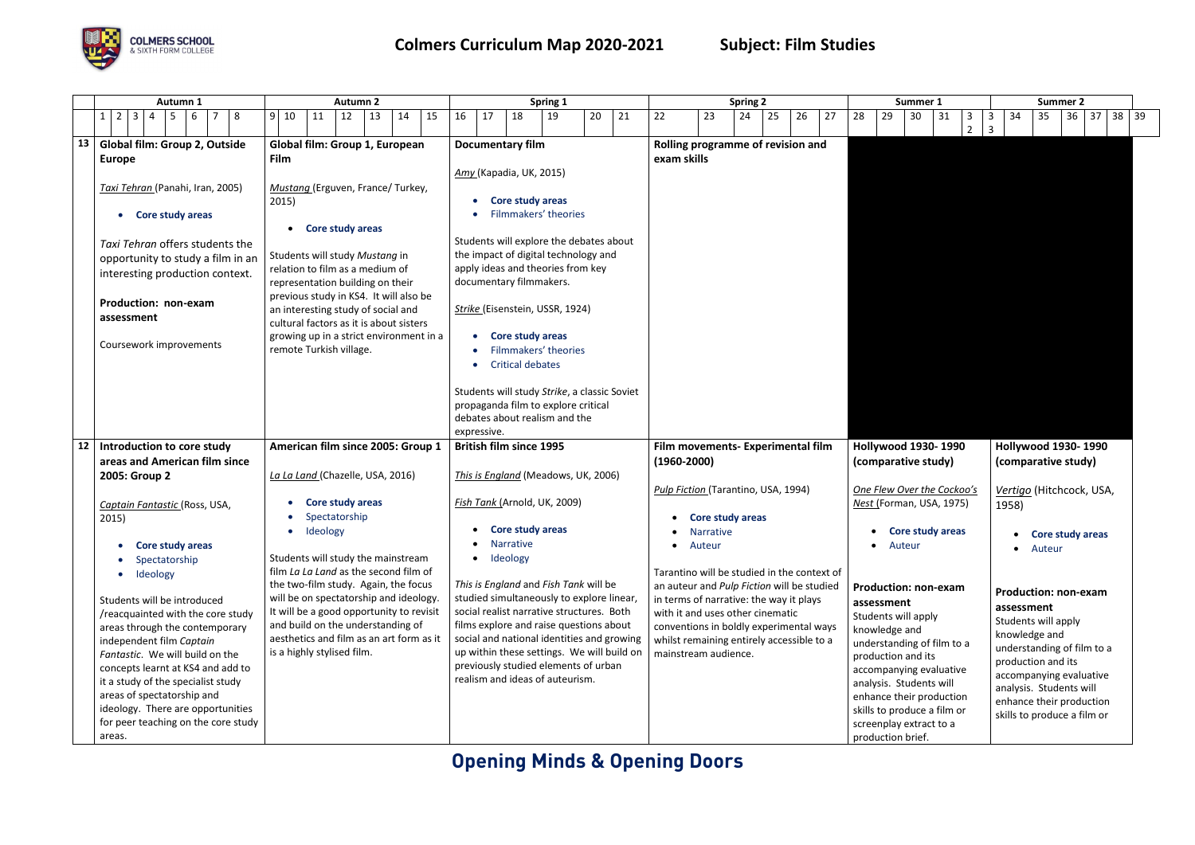# **Opening Minds & Opening Doors**



|    | Autumn 1                                      | <b>Autumn 2</b>                                                               | Spring 1                                                                |                         |                      |                                            |                                     |                                                                                           |    | Summer 1 |    | <b>Summer 2</b>            |                                      |                     |                            |                  |                                    |                          |                                                     |          |                                          |  |  |  |  |  |  |  |  |  |  |  |
|----|-----------------------------------------------|-------------------------------------------------------------------------------|-------------------------------------------------------------------------|-------------------------|----------------------|--------------------------------------------|-------------------------------------|-------------------------------------------------------------------------------------------|----|----------|----|----------------------------|--------------------------------------|---------------------|----------------------------|------------------|------------------------------------|--------------------------|-----------------------------------------------------|----------|------------------------------------------|--|--|--|--|--|--|--|--|--|--|--|
|    | $2 \mid 3 \mid 4$<br>$1 \mid$<br>5<br>8<br>-6 | $9 \mid 10$<br>12<br>15<br>11<br>14<br>13                                     | 16<br>17                                                                | 18                      | 19                   | 20<br>21                                   | 22                                  | 23                                                                                        | 24 | 25       | 26 | 27                         | 28<br>29                             |                     | 30<br>31                   | 3<br>$2^{\circ}$ | 34<br>$\mathbf{3}$<br>$\mathbf{3}$ | 35                       | 36                                                  | 38<br>37 | 39                                       |  |  |  |  |  |  |  |  |  |  |  |
| 13 | <b>Global film: Group 2, Outside</b>          | Global film: Group 1, European                                                | Rolling programme of revision and                                       |                         |                      |                                            |                                     |                                                                                           |    |          |    |                            |                                      |                     |                            |                  |                                    |                          |                                                     |          |                                          |  |  |  |  |  |  |  |  |  |  |  |
|    | <b>Europe</b>                                 | Film                                                                          |                                                                         |                         |                      |                                            | exam skills                         |                                                                                           |    |          |    |                            |                                      |                     |                            |                  |                                    |                          |                                                     |          |                                          |  |  |  |  |  |  |  |  |  |  |  |
|    |                                               |                                                                               | Amy (Kapadia, UK, 2015)                                                 |                         |                      |                                            |                                     |                                                                                           |    |          |    |                            |                                      |                     |                            |                  |                                    |                          |                                                     |          |                                          |  |  |  |  |  |  |  |  |  |  |  |
|    | Taxi Tehran (Panahi, Iran, 2005)              | Mustang (Erguven, France/ Turkey,                                             |                                                                         |                         |                      |                                            |                                     |                                                                                           |    |          |    |                            |                                      |                     |                            |                  |                                    |                          |                                                     |          |                                          |  |  |  |  |  |  |  |  |  |  |  |
|    |                                               | 2015)                                                                         |                                                                         | Core study areas        |                      |                                            |                                     |                                                                                           |    |          |    |                            |                                      |                     |                            |                  |                                    |                          |                                                     |          |                                          |  |  |  |  |  |  |  |  |  |  |  |
|    | Core study areas<br>$\bullet$                 |                                                                               |                                                                         |                         | Filmmakers' theories |                                            |                                     |                                                                                           |    |          |    |                            |                                      |                     |                            |                  |                                    |                          |                                                     |          |                                          |  |  |  |  |  |  |  |  |  |  |  |
|    |                                               | • Core study areas                                                            |                                                                         |                         |                      |                                            |                                     |                                                                                           |    |          |    |                            |                                      |                     |                            |                  |                                    |                          |                                                     |          |                                          |  |  |  |  |  |  |  |  |  |  |  |
|    | Taxi Tehran offers students the               |                                                                               | Students will explore the debates about                                 |                         |                      |                                            |                                     |                                                                                           |    |          |    |                            |                                      |                     |                            |                  |                                    |                          |                                                     |          |                                          |  |  |  |  |  |  |  |  |  |  |  |
|    | opportunity to study a film in an             | Students will study Mustang in                                                | the impact of digital technology and                                    |                         |                      |                                            |                                     |                                                                                           |    |          |    |                            |                                      |                     |                            |                  |                                    |                          |                                                     |          |                                          |  |  |  |  |  |  |  |  |  |  |  |
|    | interesting production context.               | relation to film as a medium of                                               | apply ideas and theories from key                                       |                         |                      |                                            |                                     |                                                                                           |    |          |    |                            |                                      |                     |                            |                  |                                    |                          |                                                     |          |                                          |  |  |  |  |  |  |  |  |  |  |  |
|    |                                               | representation building on their                                              | documentary filmmakers.                                                 |                         |                      |                                            |                                     |                                                                                           |    |          |    |                            |                                      |                     |                            |                  |                                    |                          |                                                     |          |                                          |  |  |  |  |  |  |  |  |  |  |  |
|    | Production: non-exam                          | previous study in KS4. It will also be                                        | Strike (Eisenstein, USSR, 1924)                                         |                         |                      |                                            |                                     |                                                                                           |    |          |    |                            |                                      |                     |                            |                  |                                    |                          |                                                     |          |                                          |  |  |  |  |  |  |  |  |  |  |  |
|    | assessment                                    | an interesting study of social and<br>cultural factors as it is about sisters |                                                                         |                         |                      |                                            |                                     |                                                                                           |    |          |    |                            |                                      |                     |                            |                  |                                    |                          |                                                     |          |                                          |  |  |  |  |  |  |  |  |  |  |  |
|    |                                               | growing up in a strict environment in a                                       | $\bullet$                                                               | Core study areas        |                      |                                            |                                     |                                                                                           |    |          |    |                            |                                      |                     |                            |                  |                                    |                          |                                                     |          |                                          |  |  |  |  |  |  |  |  |  |  |  |
|    | Coursework improvements                       | remote Turkish village.                                                       |                                                                         | Filmmakers' theories    |                      |                                            |                                     |                                                                                           |    |          |    |                            |                                      |                     |                            |                  |                                    |                          |                                                     |          |                                          |  |  |  |  |  |  |  |  |  |  |  |
|    |                                               |                                                                               |                                                                         | <b>Critical debates</b> |                      |                                            |                                     |                                                                                           |    |          |    |                            |                                      |                     |                            |                  |                                    |                          |                                                     |          |                                          |  |  |  |  |  |  |  |  |  |  |  |
|    |                                               |                                                                               |                                                                         |                         |                      |                                            |                                     |                                                                                           |    |          |    |                            |                                      |                     |                            |                  |                                    |                          |                                                     |          |                                          |  |  |  |  |  |  |  |  |  |  |  |
|    |                                               |                                                                               | Students will study Strike, a classic Soviet                            |                         |                      |                                            |                                     |                                                                                           |    |          |    |                            |                                      |                     |                            |                  |                                    |                          |                                                     |          |                                          |  |  |  |  |  |  |  |  |  |  |  |
|    |                                               |                                                                               | propaganda film to explore critical                                     |                         |                      |                                            |                                     |                                                                                           |    |          |    |                            |                                      |                     |                            |                  |                                    |                          |                                                     |          |                                          |  |  |  |  |  |  |  |  |  |  |  |
|    |                                               |                                                                               | debates about realism and the                                           |                         |                      |                                            |                                     |                                                                                           |    |          |    |                            |                                      |                     |                            |                  |                                    |                          |                                                     |          |                                          |  |  |  |  |  |  |  |  |  |  |  |
|    |                                               |                                                                               | expressive.                                                             |                         |                      |                                            |                                     |                                                                                           |    |          |    |                            |                                      |                     |                            |                  |                                    |                          |                                                     |          |                                          |  |  |  |  |  |  |  |  |  |  |  |
| 12 | Introduction to core study                    | American film since 2005: Group 1                                             | <b>British film since 1995</b>                                          |                         |                      |                                            |                                     | Film movements- Experimental film                                                         |    |          |    |                            | <b>Hollywood 1930-1990</b>           |                     |                            |                  |                                    |                          | <b>Hollywood 1930-1990</b>                          |          |                                          |  |  |  |  |  |  |  |  |  |  |  |
|    | areas and American film since                 |                                                                               |                                                                         |                         |                      |                                            | $(1960 - 2000)$                     |                                                                                           |    |          |    |                            |                                      | (comparative study) |                            |                  |                                    |                          | (comparative study)                                 |          |                                          |  |  |  |  |  |  |  |  |  |  |  |
|    | 2005: Group 2                                 | La La Land (Chazelle, USA, 2016)                                              | This is England (Meadows, UK, 2006)                                     |                         |                      |                                            |                                     |                                                                                           |    |          |    |                            |                                      |                     |                            |                  |                                    |                          |                                                     |          |                                          |  |  |  |  |  |  |  |  |  |  |  |
|    |                                               |                                                                               |                                                                         |                         |                      |                                            | Pulp Fiction (Tarantino, USA, 1994) |                                                                                           |    |          |    | One Flew Over the Cockoo's |                                      |                     |                            |                  |                                    | Vertigo (Hitchcock, USA, |                                                     |          |                                          |  |  |  |  |  |  |  |  |  |  |  |
|    | Captain Fantastic (Ross, USA,                 | Core study areas                                                              | Fish Tank (Arnold, UK, 2009)                                            |                         |                      |                                            |                                     |                                                                                           |    |          |    |                            | Nest (Forman, USA, 1975)             |                     |                            |                  | 1958)                              |                          |                                                     |          |                                          |  |  |  |  |  |  |  |  |  |  |  |
|    | 2015)                                         | Spectatorship                                                                 |                                                                         |                         |                      |                                            |                                     | Core study areas                                                                          |    |          |    |                            |                                      |                     |                            |                  |                                    |                          |                                                     |          |                                          |  |  |  |  |  |  |  |  |  |  |  |
|    |                                               | Ideology                                                                      |                                                                         | <b>Core study areas</b> |                      |                                            |                                     | Narrative                                                                                 |    |          |    |                            |                                      |                     | • Core study areas         |                  |                                    |                          | • Core study areas                                  |          |                                          |  |  |  |  |  |  |  |  |  |  |  |
|    | Core study areas<br>$\bullet$                 |                                                                               |                                                                         | <b>Narrative</b>        |                      |                                            | $\bullet$                           | Auteur                                                                                    |    |          |    |                            |                                      | • Auteur            |                            |                  |                                    | Auteur                   |                                                     |          |                                          |  |  |  |  |  |  |  |  |  |  |  |
|    | Spectatorship                                 | Students will study the mainstream<br>film La La Land as the second film of   | Ideology<br>$\bullet$                                                   |                         |                      |                                            |                                     |                                                                                           |    |          |    |                            |                                      |                     |                            |                  |                                    |                          |                                                     |          |                                          |  |  |  |  |  |  |  |  |  |  |  |
|    | Ideology                                      | the two-film study. Again, the focus                                          | This is England and Fish Tank will be                                   |                         |                      |                                            |                                     | Tarantino will be studied in the context of<br>an auteur and Pulp Fiction will be studied |    |          |    |                            |                                      |                     |                            |                  |                                    |                          |                                                     |          |                                          |  |  |  |  |  |  |  |  |  |  |  |
|    | Students will be introduced                   | will be on spectatorship and ideology.                                        | studied simultaneously to explore linear,                               |                         |                      |                                            |                                     | in terms of narrative: the way it plays                                                   |    |          |    |                            | <b>Production: non-exam</b>          |                     |                            |                  |                                    |                          | <b>Production: non-exam</b>                         |          |                                          |  |  |  |  |  |  |  |  |  |  |  |
|    | /reacquainted with the core study             | It will be a good opportunity to revisit                                      | social realist narrative structures. Both                               |                         |                      |                                            |                                     | with it and uses other cinematic                                                          |    |          |    |                            | assessment                           |                     |                            |                  | assessment                         |                          |                                                     |          |                                          |  |  |  |  |  |  |  |  |  |  |  |
|    | areas through the contemporary                | and build on the understanding of                                             | films explore and raise questions about                                 |                         |                      |                                            |                                     | conventions in boldly experimental ways                                                   |    |          |    |                            | Students will apply<br>knowledge and |                     |                            |                  | Students will apply                |                          |                                                     |          |                                          |  |  |  |  |  |  |  |  |  |  |  |
|    | independent film Captain                      | aesthetics and film as an art form as it                                      |                                                                         |                         |                      | social and national identities and growing |                                     | whilst remaining entirely accessible to a                                                 |    |          |    |                            |                                      |                     | understanding of film to a |                  | knowledge and                      |                          |                                                     |          |                                          |  |  |  |  |  |  |  |  |  |  |  |
|    | Fantastic. We will build on the               | is a highly stylised film.                                                    |                                                                         |                         |                      | up within these settings. We will build on |                                     | mainstream audience.                                                                      |    |          |    |                            | production and its                   |                     |                            |                  |                                    |                          | understanding of film to a                          |          |                                          |  |  |  |  |  |  |  |  |  |  |  |
|    | concepts learnt at KS4 and add to             |                                                                               | previously studied elements of urban<br>realism and ideas of auteurism. |                         |                      |                                            |                                     |                                                                                           |    |          |    |                            | accompanying evaluative              |                     |                            |                  | production and its                 |                          |                                                     |          |                                          |  |  |  |  |  |  |  |  |  |  |  |
|    | it a study of the specialist study            |                                                                               |                                                                         |                         |                      |                                            |                                     |                                                                                           |    |          |    |                            | analysis. Students will              |                     |                            |                  |                                    |                          | accompanying evaluative                             |          |                                          |  |  |  |  |  |  |  |  |  |  |  |
|    | areas of spectatorship and                    |                                                                               |                                                                         |                         |                      |                                            |                                     |                                                                                           |    |          |    |                            | enhance their production             |                     |                            |                  |                                    |                          | analysis. Students will<br>enhance their production |          |                                          |  |  |  |  |  |  |  |  |  |  |  |
|    | ideology. There are opportunities             |                                                                               |                                                                         |                         |                      |                                            |                                     |                                                                                           |    |          |    |                            | skills to produce a film or          |                     |                            |                  |                                    |                          | skills to produce a film or                         |          |                                          |  |  |  |  |  |  |  |  |  |  |  |
|    | for peer teaching on the core study           |                                                                               |                                                                         |                         |                      |                                            |                                     |                                                                                           |    |          |    |                            | screenplay extract to a              |                     |                            |                  |                                    |                          |                                                     |          |                                          |  |  |  |  |  |  |  |  |  |  |  |
|    | areas.                                        |                                                                               |                                                                         |                         |                      |                                            |                                     |                                                                                           |    |          |    |                            | production brief.                    |                     |                            |                  |                                    |                          |                                                     |          |                                          |  |  |  |  |  |  |  |  |  |  |  |
|    |                                               |                                                                               |                                                                         |                         |                      |                                            |                                     |                                                                                           |    |          |    |                            |                                      |                     |                            |                  |                                    |                          |                                                     |          | <b>Opening Minds &amp; Opening Doors</b> |  |  |  |  |  |  |  |  |  |  |  |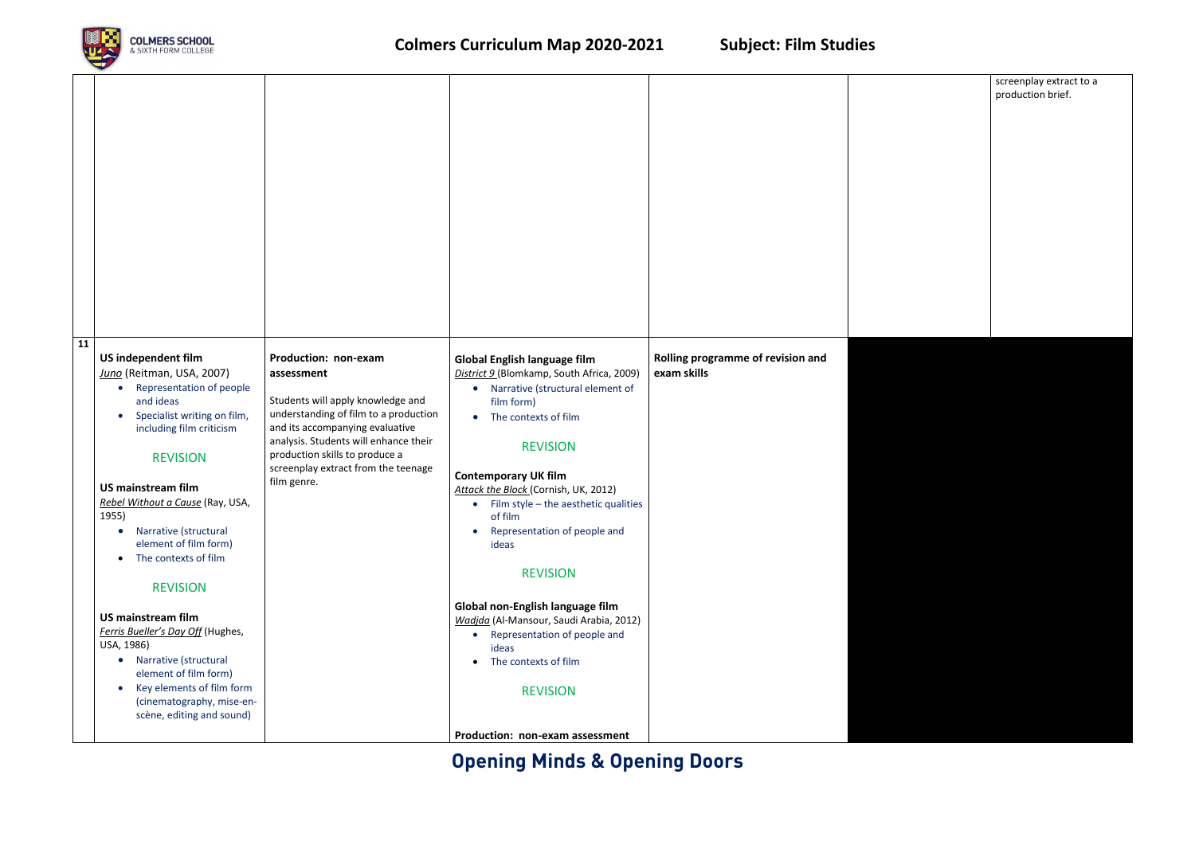### **Opening Minds & Opening Doors**



### screenplay extract to a production brief.

| 11 |                                                                                                                                                                                                                                                                                                                                                                                                                                                                                                                                                                                                                                                              |                                                                                                                                                                                                                                                                                      |                                                                                                                                                                                                                                                                                                                                                                                                                                                                                                                                                                                              |                                                  |
|----|--------------------------------------------------------------------------------------------------------------------------------------------------------------------------------------------------------------------------------------------------------------------------------------------------------------------------------------------------------------------------------------------------------------------------------------------------------------------------------------------------------------------------------------------------------------------------------------------------------------------------------------------------------------|--------------------------------------------------------------------------------------------------------------------------------------------------------------------------------------------------------------------------------------------------------------------------------------|----------------------------------------------------------------------------------------------------------------------------------------------------------------------------------------------------------------------------------------------------------------------------------------------------------------------------------------------------------------------------------------------------------------------------------------------------------------------------------------------------------------------------------------------------------------------------------------------|--------------------------------------------------|
|    | US independent film<br>Juno (Reitman, USA, 2007)<br><b>Representation of people</b><br>$\bullet$<br>and ideas<br>Specialist writing on film,<br>$\bullet$<br>including film criticism<br><b>REVISION</b><br><b>US mainstream film</b><br>Rebel Without a Cause (Ray, USA,<br>1955)<br>Narrative (structural<br>$\bullet$<br>element of film form)<br>The contexts of film<br>$\bullet$<br><b>REVISION</b><br><b>US mainstream film</b><br>Ferris Bueller's Day Off (Hughes,<br>USA, 1986)<br>Narrative (structural<br>$\bullet$<br>element of film form)<br>Key elements of film form<br>$\bullet$<br>(cinematography, mise-en-<br>scène, editing and sound) | Production: non-exam<br>assessment<br>Students will apply knowledge and<br>understanding of film to a production<br>and its accompanying evaluative<br>analysis. Students will enhance their<br>production skills to produce a<br>screenplay extract from the teenage<br>film genre. | <b>Global English language film</b><br>District 9 (Blomkamp, South Africa, 2009)<br>• Narrative (structural element of<br>film form)<br>The contexts of film<br><b>REVISION</b><br><b>Contemporary UK film</b><br>Attack the Block (Cornish, UK, 2012)<br>• Film style - the aesthetic qualities<br>of film<br>Representation of people and<br>$\bullet$<br>ideas<br><b>REVISION</b><br>Global non-English language film<br>Wadjda (Al-Mansour, Saudi Arabia, 2012)<br>• Representation of people and<br>ideas<br>The contexts of film<br><b>REVISION</b><br>Production: non-exam assessment | Rolling programme of revision and<br>exam skills |
|    |                                                                                                                                                                                                                                                                                                                                                                                                                                                                                                                                                                                                                                                              |                                                                                                                                                                                                                                                                                      |                                                                                                                                                                                                                                                                                                                                                                                                                                                                                                                                                                                              |                                                  |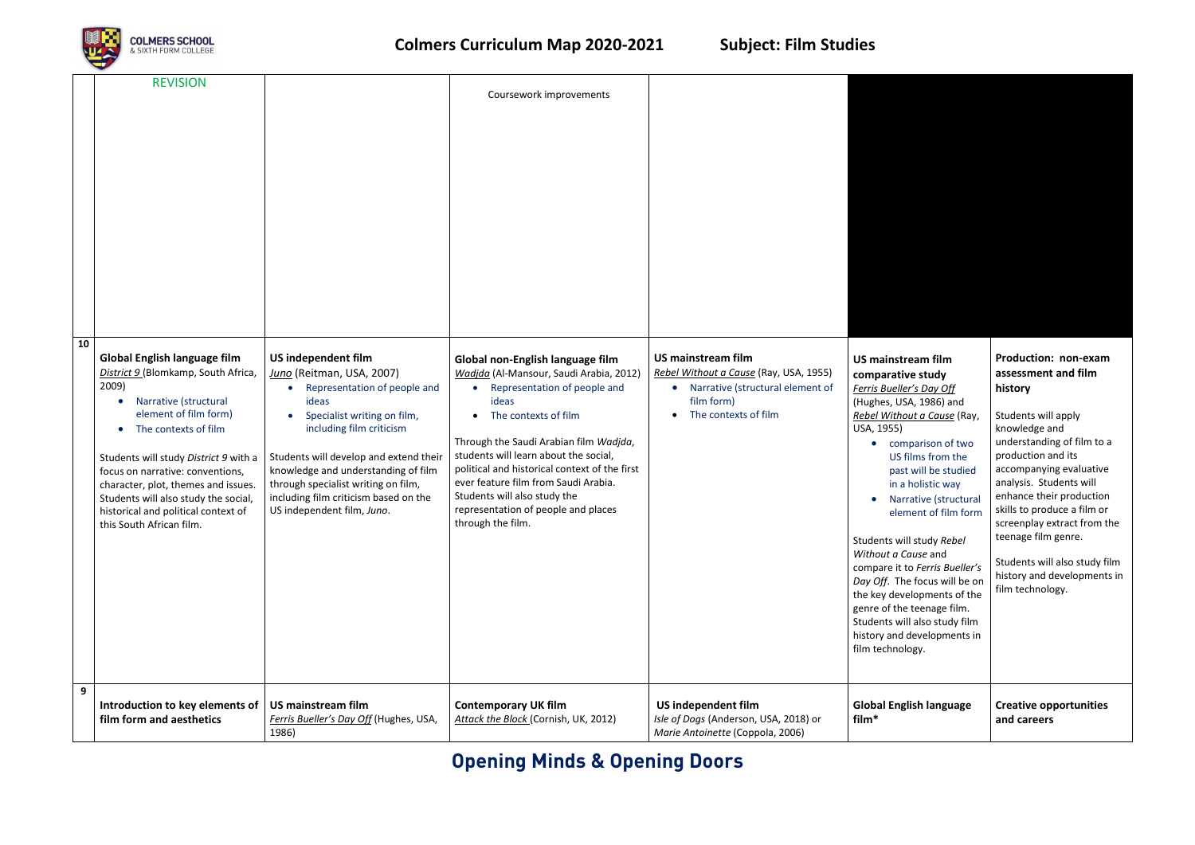## **Opening Minds & Opening Doors**



|    | <b>REVISION</b>                                                                                                                                                                                                                                                                                                                                                                       |                                                                                                                                                                                                                                                                                                                                                                  | Coursework improvements                                                                                                                                                                                                                                                                                                                                                                                              |                                                                                                                                                            |                                                                                                                                                                                                                                                                                                                                                                                                                                                                          |
|----|---------------------------------------------------------------------------------------------------------------------------------------------------------------------------------------------------------------------------------------------------------------------------------------------------------------------------------------------------------------------------------------|------------------------------------------------------------------------------------------------------------------------------------------------------------------------------------------------------------------------------------------------------------------------------------------------------------------------------------------------------------------|----------------------------------------------------------------------------------------------------------------------------------------------------------------------------------------------------------------------------------------------------------------------------------------------------------------------------------------------------------------------------------------------------------------------|------------------------------------------------------------------------------------------------------------------------------------------------------------|--------------------------------------------------------------------------------------------------------------------------------------------------------------------------------------------------------------------------------------------------------------------------------------------------------------------------------------------------------------------------------------------------------------------------------------------------------------------------|
| 10 | Global English language film<br>District 9 (Blomkamp, South Africa,<br>2009)<br>Narrative (structural<br>element of film form)<br>The contexts of film<br>Students will study District 9 with a<br>focus on narrative: conventions,<br>character, plot, themes and issues.<br>Students will also study the social,<br>historical and political context of<br>this South African film. | US independent film<br>Juno (Reitman, USA, 2007)<br>Representation of people and<br>$\bullet$<br>ideas<br>Specialist writing on film,<br>including film criticism<br>Students will develop and extend their<br>knowledge and understanding of film<br>through specialist writing on film,<br>including film criticism based on the<br>US independent film, Juno. | Global non-English language film<br>Wadjda (Al-Mansour, Saudi Arabia, 2012)<br>Representation of people and<br>ideas<br>The contexts of film<br>Through the Saudi Arabian film Wadjda,<br>students will learn about the social,<br>political and historical context of the first<br>ever feature film from Saudi Arabia.<br>Students will also study the<br>representation of people and places<br>through the film. | <b>US mainstream film</b><br>Rebel Without a Cause (Ray, USA, 1955)<br>Narrative (structural element of<br>$\bullet$<br>film form)<br>The contexts of film | <b>US mainstream film</b><br>comparative study<br>Ferris Bueller's Day O<br>(Hughes, USA, 1986)<br>Rebel Without a Caus<br>USA, 1955)<br>comparison c<br>US films from<br>past will be st<br>in a holistic w<br>Narrative (str<br>element of fil<br>Students will study Re<br>Without a Cause and<br>compare it to Ferris B<br>Day Off. The focus w<br>the key development<br>genre of the teenage<br>Students will also stu<br>history and developm<br>film technology. |
| 9  | Introduction to key elements of<br>film form and aesthetics                                                                                                                                                                                                                                                                                                                           | <b>US mainstream film</b><br>Ferris Bueller's Day Off (Hughes, USA,<br>1986)                                                                                                                                                                                                                                                                                     | <b>Contemporary UK film</b><br>Attack the Block (Cornish, UK, 2012)                                                                                                                                                                                                                                                                                                                                                  | US independent film<br>Isle of Dogs (Anderson, USA, 2018) or<br>Marie Antoinette (Coppola, 2006)                                                           | <b>Global English lang</b><br>film*                                                                                                                                                                                                                                                                                                                                                                                                                                      |

| <b>US mainstream film</b>                                                                                                                                                                                                                                                                                                                                                                                                                                                                   | Production: non-exam                                                                                                                                                                                                                                                                                                                                |  |  |  |  |  |  |  |  |
|---------------------------------------------------------------------------------------------------------------------------------------------------------------------------------------------------------------------------------------------------------------------------------------------------------------------------------------------------------------------------------------------------------------------------------------------------------------------------------------------|-----------------------------------------------------------------------------------------------------------------------------------------------------------------------------------------------------------------------------------------------------------------------------------------------------------------------------------------------------|--|--|--|--|--|--|--|--|
| comparative study                                                                                                                                                                                                                                                                                                                                                                                                                                                                           | assessment and film                                                                                                                                                                                                                                                                                                                                 |  |  |  |  |  |  |  |  |
| Ferris Bueller's Day Off                                                                                                                                                                                                                                                                                                                                                                                                                                                                    | history                                                                                                                                                                                                                                                                                                                                             |  |  |  |  |  |  |  |  |
| (Hughes, USA, 1986) and<br><u>Rebel Without a Cause</u> (Ray,<br>USA, 1955)<br>comparison of two<br>US films from the<br>past will be studied<br>in a holistic way<br>Narrative (structural<br>element of film form<br>Students will study Rebel<br>Without a Cause and<br>compare it to Ferris Bueller's<br>Day Off. The focus will be on<br>the key developments of the<br>genre of the teenage film.<br>Students will also study film<br>history and developments in<br>film technology. | Students will apply<br>knowledge and<br>understanding of film to a<br>production and its<br>accompanying evaluative<br>analysis. Students will<br>enhance their production<br>skills to produce a film or<br>screenplay extract from the<br>teenage film genre.<br>Students will also study film<br>history and developments in<br>film technology. |  |  |  |  |  |  |  |  |
| <b>Global English language</b><br>film*                                                                                                                                                                                                                                                                                                                                                                                                                                                     | <b>Creative opportunities</b><br>and careers                                                                                                                                                                                                                                                                                                        |  |  |  |  |  |  |  |  |
|                                                                                                                                                                                                                                                                                                                                                                                                                                                                                             |                                                                                                                                                                                                                                                                                                                                                     |  |  |  |  |  |  |  |  |